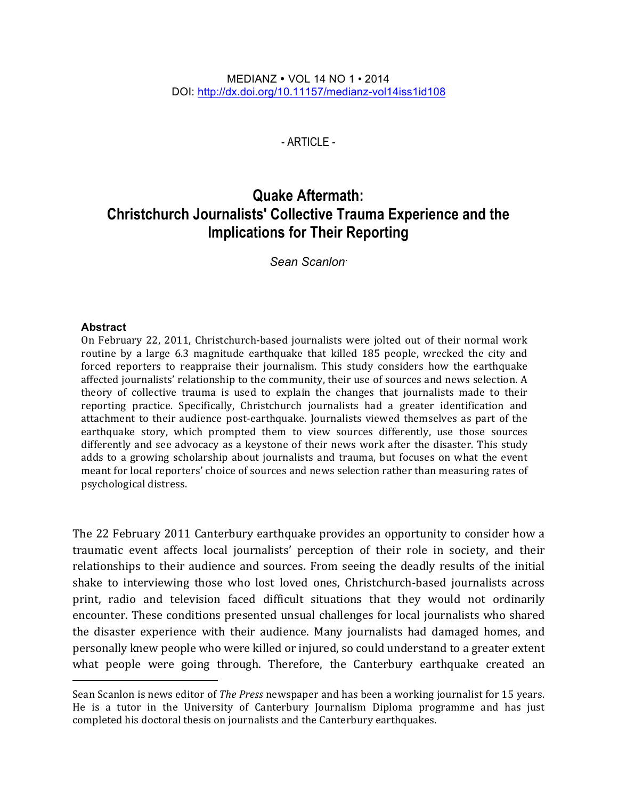$-$  ARTICLE  $-$ 

# **Quake Aftermath: Christchurch Journalists' Collective Trauma Experience and the Implications for Their Reporting**

*Sean Scanlon*•

#### **Abstract**

On February 22, 2011, Christchurch-based journalists were jolted out of their normal work routine by a large 6.3 magnitude earthquake that killed 185 people, wrecked the city and forced reporters to reappraise their journalism. This study considers how the earthquake affected journalists' relationship to the community, their use of sources and news selection. A theory of collective trauma is used to explain the changes that journalists made to their reporting practice. Specifically, Christchurch journalists had a greater identification and attachment to their audience post-earthquake. Journalists viewed themselves as part of the earthquake story, which prompted them to view sources differently, use those sources differently and see advocacy as a keystone of their news work after the disaster. This study adds to a growing scholarship about journalists and trauma, but focuses on what the event meant for local reporters' choice of sources and news selection rather than measuring rates of psychological distress.

The 22 February 2011 Canterbury earthquake provides an opportunity to consider how a traumatic event affects local journalists' perception of their role in society, and their relationships to their audience and sources. From seeing the deadly results of the initial shake to interviewing those who lost loved ones, Christchurch-based journalists across print, radio and television faced difficult situations that they would not ordinarily encounter. These conditions presented unsual challenges for local journalists who shared the disaster experience with their audience. Many journalists had damaged homes, and personally knew people who were killed or injured, so could understand to a greater extent what people were going through. Therefore, the Canterbury earthquake created an

Sean Scanlon is news editor of *The Press* newspaper and has been a working journalist for 15 years. He is a tutor in the University of Canterbury Journalism Diploma programme and has just completed his doctoral thesis on journalists and the Canterbury earthquakes.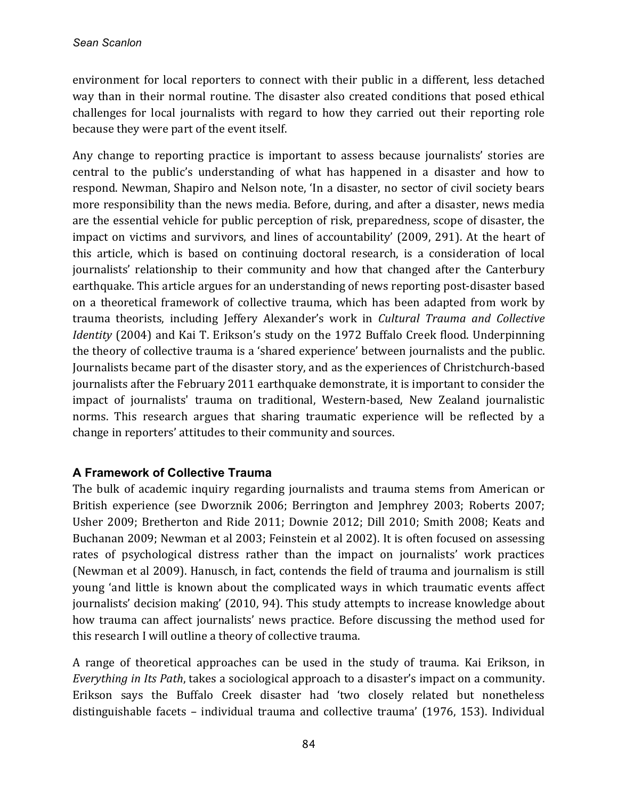environment for local reporters to connect with their public in a different, less detached way than in their normal routine. The disaster also created conditions that posed ethical challenges for local journalists with regard to how they carried out their reporting role because they were part of the event itself.

Any change to reporting practice is important to assess because journalists' stories are central to the public's understanding of what has happened in a disaster and how to respond. Newman, Shapiro and Nelson note, 'In a disaster, no sector of civil society bears more responsibility than the news media. Before, during, and after a disaster, news media are the essential vehicle for public perception of risk, preparedness, scope of disaster, the impact on victims and survivors, and lines of accountability' (2009, 291). At the heart of this article, which is based on continuing doctoral research, is a consideration of local journalists' relationship to their community and how that changed after the Canterbury earthquake. This article argues for an understanding of news reporting post-disaster based on a theoretical framework of collective trauma, which has been adapted from work by trauma theorists, including Jeffery Alexander's work in *Cultural Trauma and Collective Identity* (2004) and Kai T. Erikson's study on the 1972 Buffalo Creek flood. Underpinning the theory of collective trauma is a 'shared experience' between journalists and the public. Journalists became part of the disaster story, and as the experiences of Christchurch-based journalists after the February 2011 earthquake demonstrate, it is important to consider the impact of journalists' trauma on traditional, Western-based, New Zealand journalistic norms. This research argues that sharing traumatic experience will be reflected by a change in reporters' attitudes to their community and sources.

## **A Framework of Collective Trauma**

The bulk of academic inquiry regarding journalists and trauma stems from American or British experience (see Dworznik 2006; Berrington and Jemphrey 2003; Roberts 2007; Usher 2009; Bretherton and Ride 2011; Downie 2012; Dill 2010; Smith 2008; Keats and Buchanan 2009; Newman et al 2003; Feinstein et al 2002). It is often focused on assessing rates of psychological distress rather than the impact on journalists' work practices (Newman et al 2009). Hanusch, in fact, contends the field of trauma and journalism is still young 'and little is known about the complicated ways in which traumatic events affect journalists' decision making' (2010, 94). This study attempts to increase knowledge about how trauma can affect journalists' news practice. Before discussing the method used for this research I will outline a theory of collective trauma.

A range of theoretical approaches can be used in the study of trauma. Kai Erikson, in *Everything in Its Path*, takes a sociological approach to a disaster's impact on a community. Erikson says the Buffalo Creek disaster had 'two closely related but nonetheless distinguishable facets – individual trauma and collective trauma' (1976, 153). Individual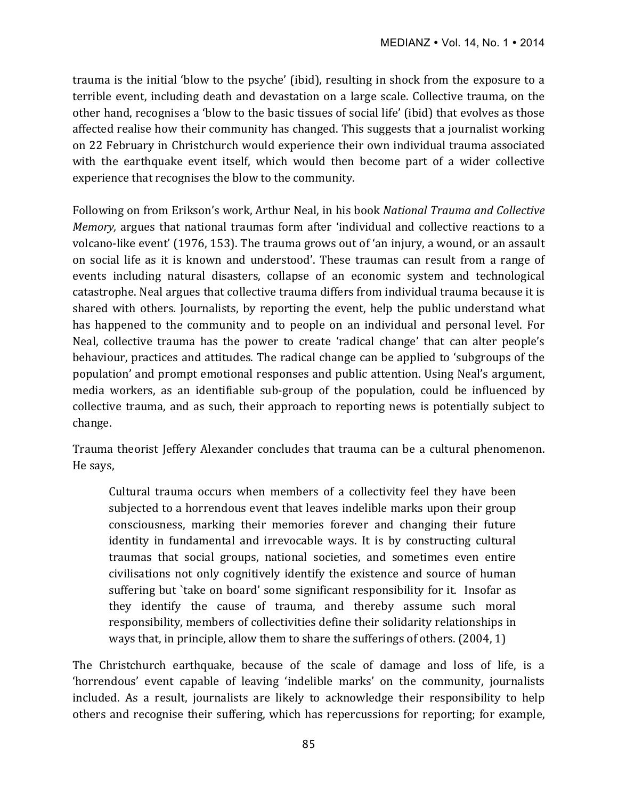trauma is the initial 'blow to the psyche' (ibid), resulting in shock from the exposure to a terrible event, including death and devastation on a large scale. Collective trauma, on the other hand, recognises a 'blow to the basic tissues of social life' (ibid) that evolves as those affected realise how their community has changed. This suggests that a journalist working on 22 February in Christchurch would experience their own individual trauma associated with the earthquake event itself, which would then become part of a wider collective experience that recognises the blow to the community.

Following on from Erikson's work, Arthur Neal, in his book National Trauma and Collective *Memory*, argues that national traumas form after 'individual and collective reactions to a volcano-like event' (1976, 153). The trauma grows out of 'an injury, a wound, or an assault on social life as it is known and understood'. These traumas can result from a range of events including natural disasters, collapse of an economic system and technological catastrophe. Neal argues that collective trauma differs from individual trauma because it is shared with others. Journalists, by reporting the event, help the public understand what has happened to the community and to people on an individual and personal level. For Neal, collective trauma has the power to create 'radical change' that can alter people's behaviour, practices and attitudes. The radical change can be applied to 'subgroups of the population' and prompt emotional responses and public attention. Using Neal's argument, media workers, as an identifiable sub-group of the population, could be influenced by collective trauma, and as such, their approach to reporting news is potentially subject to change. 

Trauma theorist Jeffery Alexander concludes that trauma can be a cultural phenomenon. He says,

Cultural trauma occurs when members of a collectivity feel they have been subjected to a horrendous event that leaves indelible marks upon their group consciousness, marking their memories forever and changing their future identity in fundamental and irrevocable ways. It is by constructing cultural traumas that social groups, national societies, and sometimes even entire civilisations not only cognitively identify the existence and source of human suffering but `take on board' some significant responsibility for it. Insofar as they identify the cause of trauma, and thereby assume such moral responsibility, members of collectivities define their solidarity relationships in ways that, in principle, allow them to share the sufferings of others.  $(2004, 1)$ 

The Christchurch earthquake, because of the scale of damage and loss of life, is a 'horrendous' event capable of leaving 'indelible marks' on the community, journalists included. As a result, journalists are likely to acknowledge their responsibility to help others and recognise their suffering, which has repercussions for reporting; for example,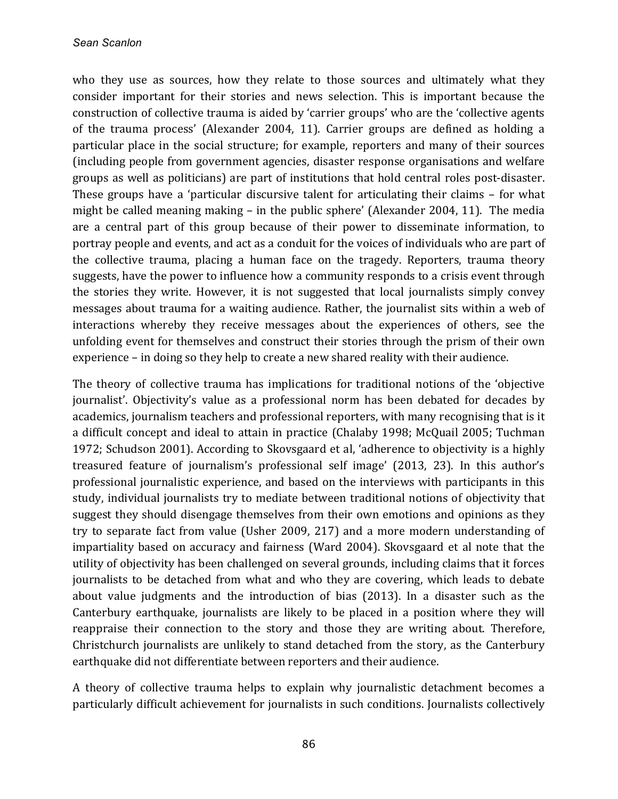who they use as sources, how they relate to those sources and ultimately what they consider important for their stories and news selection. This is important because the construction of collective trauma is aided by 'carrier groups' who are the 'collective agents of the trauma process' (Alexander 2004, 11). Carrier groups are defined as holding a particular place in the social structure; for example, reporters and many of their sources (including people from government agencies, disaster response organisations and welfare groups as well as politicians) are part of institutions that hold central roles post-disaster. These groups have a 'particular discursive talent for articulating their claims  $-$  for what might be called meaning making  $-$  in the public sphere' (Alexander 2004, 11). The media are a central part of this group because of their power to disseminate information, to portray people and events, and act as a conduit for the voices of individuals who are part of the collective trauma, placing a human face on the tragedy. Reporters, trauma theory suggests, have the power to influence how a community responds to a crisis event through the stories they write. However, it is not suggested that local journalists simply convey messages about trauma for a waiting audience. Rather, the journalist sits within a web of interactions whereby they receive messages about the experiences of others, see the unfolding event for themselves and construct their stories through the prism of their own experience  $-$  in doing so they help to create a new shared reality with their audience.

The theory of collective trauma has implications for traditional notions of the 'objective journalist'. Objectivity's value as a professional norm has been debated for decades by academics, journalism teachers and professional reporters, with many recognising that is it a difficult concept and ideal to attain in practice (Chalaby 1998; McQuail 2005; Tuchman 1972; Schudson 2001). According to Skovsgaard et al, 'adherence to objectivity is a highly treasured feature of journalism's professional self image' (2013, 23). In this author's professional journalistic experience, and based on the interviews with participants in this study, individual journalists try to mediate between traditional notions of objectivity that suggest they should disengage themselves from their own emotions and opinions as they try to separate fact from value (Usher 2009, 217) and a more modern understanding of impartiality based on accuracy and fairness (Ward 2004). Skovsgaard et al note that the utility of objectivity has been challenged on several grounds, including claims that it forces journalists to be detached from what and who they are covering, which leads to debate about value judgments and the introduction of bias (2013). In a disaster such as the Canterbury earthquake, journalists are likely to be placed in a position where they will reappraise their connection to the story and those they are writing about. Therefore, Christchurch journalists are unlikely to stand detached from the story, as the Canterbury earthquake did not differentiate between reporters and their audience.

A theory of collective trauma helps to explain why journalistic detachment becomes a particularly difficult achievement for journalists in such conditions. Journalists collectively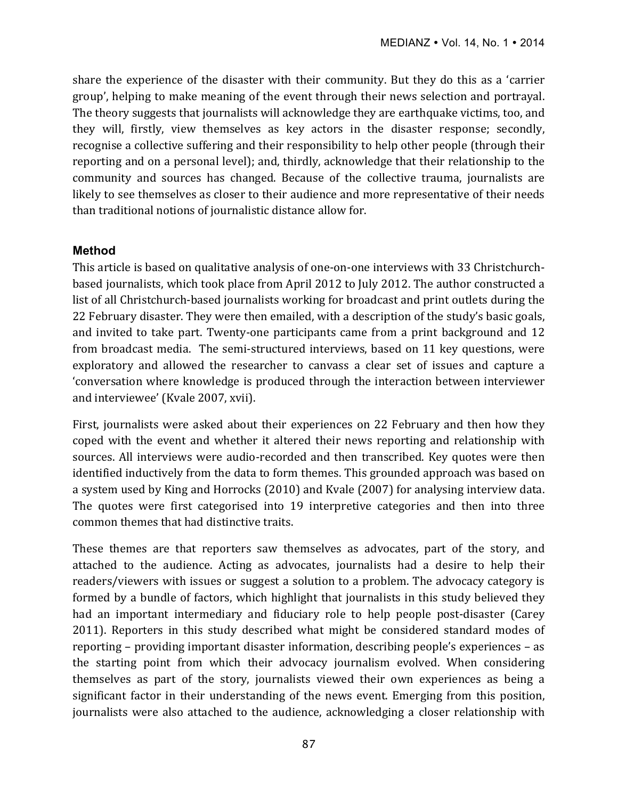share the experience of the disaster with their community. But they do this as a 'carrier group', helping to make meaning of the event through their news selection and portrayal. The theory suggests that journalists will acknowledge they are earthquake victims, too, and they will, firstly, view themselves as key actors in the disaster response; secondly, recognise a collective suffering and their responsibility to help other people (through their reporting and on a personal level); and, thirdly, acknowledge that their relationship to the community and sources has changed. Because of the collective trauma, journalists are likely to see themselves as closer to their audience and more representative of their needs than traditional notions of journalistic distance allow for.

#### **Method**

This article is based on qualitative analysis of one-on-one interviews with 33 Christchurchbased journalists, which took place from April 2012 to July 2012. The author constructed a list of all Christchurch-based journalists working for broadcast and print outlets during the 22 February disaster. They were then emailed, with a description of the study's basic goals, and invited to take part. Twenty-one participants came from a print background and 12 from broadcast media. The semi-structured interviews, based on 11 key questions, were exploratory and allowed the researcher to canvass a clear set of issues and capture a 'conversation where knowledge is produced through the interaction between interviewer and interviewee' (Kvale 2007, xvii).

First, journalists were asked about their experiences on 22 February and then how they coped with the event and whether it altered their news reporting and relationship with sources. All interviews were audio-recorded and then transcribed. Key quotes were then identified inductively from the data to form themes. This grounded approach was based on a system used by King and Horrocks (2010) and Kyale (2007) for analysing interview data. The quotes were first categorised into 19 interpretive categories and then into three common themes that had distinctive traits.

These themes are that reporters saw themselves as advocates, part of the story, and attached to the audience. Acting as advocates, journalists had a desire to help their readers/viewers with issues or suggest a solution to a problem. The advocacy category is formed by a bundle of factors, which highlight that journalists in this study believed they had an important intermediary and fiduciary role to help people post-disaster (Carey 2011). Reporters in this study described what might be considered standard modes of reporting – providing important disaster information, describing people's experiences – as the starting point from which their advocacy journalism evolved. When considering themselves as part of the story, journalists viewed their own experiences as being a significant factor in their understanding of the news event. Emerging from this position, journalists were also attached to the audience, acknowledging a closer relationship with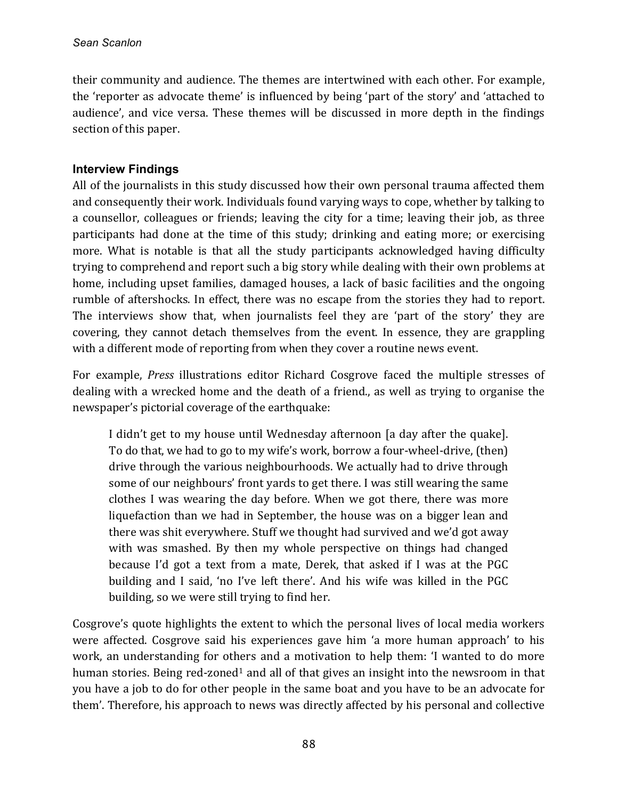their community and audience. The themes are intertwined with each other. For example, the 'reporter as advocate theme' is influenced by being 'part of the story' and 'attached to audience', and vice versa. These themes will be discussed in more depth in the findings section of this paper.

## **Interview Findings**

All of the journalists in this study discussed how their own personal trauma affected them and consequently their work. Individuals found varying ways to cope, whether by talking to a counsellor, colleagues or friends; leaving the city for a time; leaving their job, as three participants had done at the time of this study; drinking and eating more; or exercising more. What is notable is that all the study participants acknowledged having difficulty trying to comprehend and report such a big story while dealing with their own problems at home, including upset families, damaged houses, a lack of basic facilities and the ongoing rumble of aftershocks. In effect, there was no escape from the stories they had to report. The interviews show that, when journalists feel they are 'part of the story' they are covering, they cannot detach themselves from the event. In essence, they are grappling with a different mode of reporting from when they cover a routine news event.

For example, *Press* illustrations editor Richard Cosgrove faced the multiple stresses of dealing with a wrecked home and the death of a friend, as well as trying to organise the newspaper's pictorial coverage of the earthquake:

I didn't get to my house until Wednesday afternoon [a day after the quake]. To do that, we had to go to my wife's work, borrow a four-wheel-drive, (then) drive through the various neighbourhoods. We actually had to drive through some of our neighbours' front yards to get there. I was still wearing the same clothes I was wearing the day before. When we got there, there was more liquefaction than we had in September, the house was on a bigger lean and there was shit everywhere. Stuff we thought had survived and we'd got away with was smashed. By then my whole perspective on things had changed because I'd got a text from a mate, Derek, that asked if I was at the PGC building and I said, 'no I've left there'. And his wife was killed in the PGC building, so we were still trying to find her.

Cosgrove's quote highlights the extent to which the personal lives of local media workers were affected. Cosgrove said his experiences gave him 'a more human approach' to his work, an understanding for others and a motivation to help them: 'I wanted to do more human stories. Being red-zoned<sup>1</sup> and all of that gives an insight into the newsroom in that you have a job to do for other people in the same boat and you have to be an advocate for them'. Therefore, his approach to news was directly affected by his personal and collective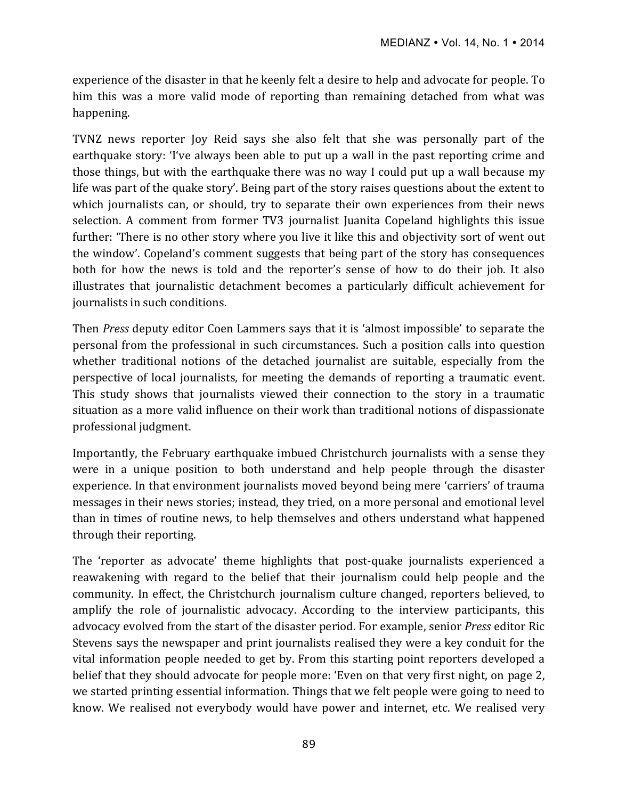experience of the disaster in that he keenly felt a desire to help and advocate for people. To him this was a more valid mode of reporting than remaining detached from what was happening. 

TVNZ news reporter Joy Reid says she also felt that she was personally part of the earthquake story: 'I've always been able to put up a wall in the past reporting crime and those things, but with the earthquake there was no way I could put up a wall because my life was part of the quake story'. Being part of the story raises questions about the extent to which journalists can, or should, try to separate their own experiences from their news selection. A comment from former TV3 journalist Juanita Copeland highlights this issue further: 'There is no other story where you live it like this and objectivity sort of went out the window'. Copeland's comment suggests that being part of the story has consequences both for how the news is told and the reporter's sense of how to do their job. It also illustrates that journalistic detachment becomes a particularly difficult achievement for journalists in such conditions.

Then *Press* deputy editor Coen Lammers says that it is 'almost impossible' to separate the personal from the professional in such circumstances. Such a position calls into question whether traditional notions of the detached iournalist are suitable, especially from the perspective of local journalists, for meeting the demands of reporting a traumatic event. This study shows that journalists viewed their connection to the story in a traumatic situation as a more valid influence on their work than traditional notions of dispassionate professional judgment.

Importantly, the February earthquake imbued Christchurch journalists with a sense they were in a unique position to both understand and help people through the disaster experience. In that environment journalists moved beyond being mere 'carriers' of trauma messages in their news stories; instead, they tried, on a more personal and emotional level than in times of routine news, to help themselves and others understand what happened through their reporting.

The 'reporter as advocate' theme highlights that post-quake journalists experienced a reawakening with regard to the belief that their journalism could help people and the community. In effect, the Christchurch journalism culture changed, reporters believed, to amplify the role of journalistic advocacy. According to the interview participants, this advocacy evolved from the start of the disaster period. For example, senior *Press* editor Ric Stevens says the newspaper and print journalists realised they were a key conduit for the vital information people needed to get by. From this starting point reporters developed a belief that they should advocate for people more: 'Even on that very first night, on page 2, we started printing essential information. Things that we felt people were going to need to know. We realised not everybody would have power and internet, etc. We realised very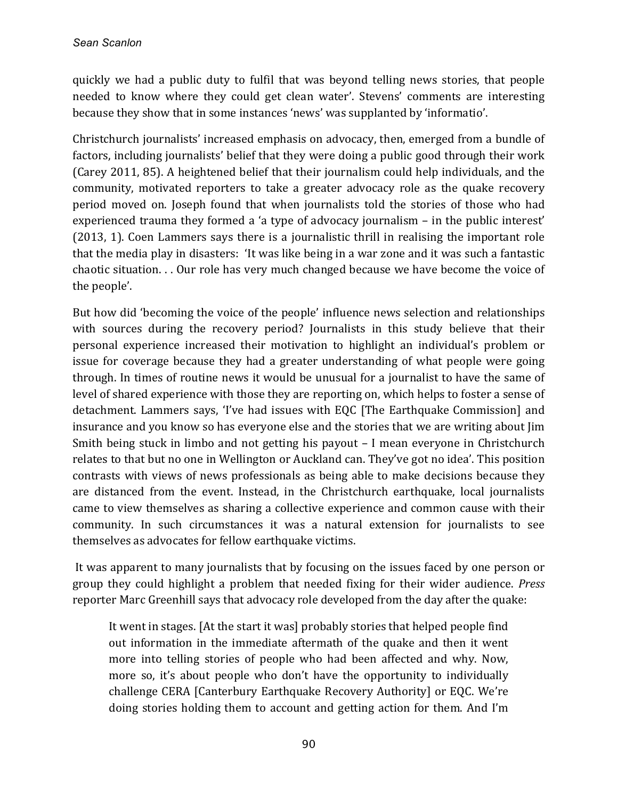quickly we had a public duty to fulfil that was beyond telling news stories, that people needed to know where they could get clean water'. Stevens' comments are interesting because they show that in some instances 'news' was supplanted by 'informatio'.

Christchurch journalists' increased emphasis on advocacy, then, emerged from a bundle of factors, including journalists' belief that they were doing a public good through their work (Carey 2011, 85). A heightened belief that their journalism could help individuals, and the community, motivated reporters to take a greater advocacy role as the quake recovery period moved on. Joseph found that when journalists told the stories of those who had experienced trauma they formed a 'a type of advocacy journalism  $-$  in the public interest' (2013, 1). Coen Lammers says there is a journalistic thrill in realising the important role that the media play in disasters: 'It was like being in a war zone and it was such a fantastic chaotic situation. . . Our role has very much changed because we have become the voice of the people'.

But how did 'becoming the voice of the people' influence news selection and relationships with sources during the recovery period? Journalists in this study believe that their personal experience increased their motivation to highlight an individual's problem or issue for coverage because they had a greater understanding of what people were going through. In times of routine news it would be unusual for a journalist to have the same of level of shared experience with those they are reporting on, which helps to foster a sense of detachment. Lammers says, 'I've had issues with EQC [The Earthquake Commission] and insurance and you know so has everyone else and the stories that we are writing about Iim Smith being stuck in limbo and not getting his payout  $-1$  mean everyone in Christchurch relates to that but no one in Wellington or Auckland can. They've got no idea'. This position contrasts with views of news professionals as being able to make decisions because they are distanced from the event. Instead, in the Christchurch earthquake, local journalists came to view themselves as sharing a collective experience and common cause with their community. In such circumstances it was a natural extension for journalists to see themselves as advocates for fellow earthquake victims.

It was apparent to many journalists that by focusing on the issues faced by one person or group they could highlight a problem that needed fixing for their wider audience. *Press* reporter Marc Greenhill says that advocacy role developed from the day after the quake:

It went in stages. [At the start it was] probably stories that helped people find out information in the immediate aftermath of the quake and then it went more into telling stories of people who had been affected and why. Now, more so, it's about people who don't have the opportunity to individually challenge CERA [Canterbury Earthquake Recovery Authority] or EQC. We're doing stories holding them to account and getting action for them. And I'm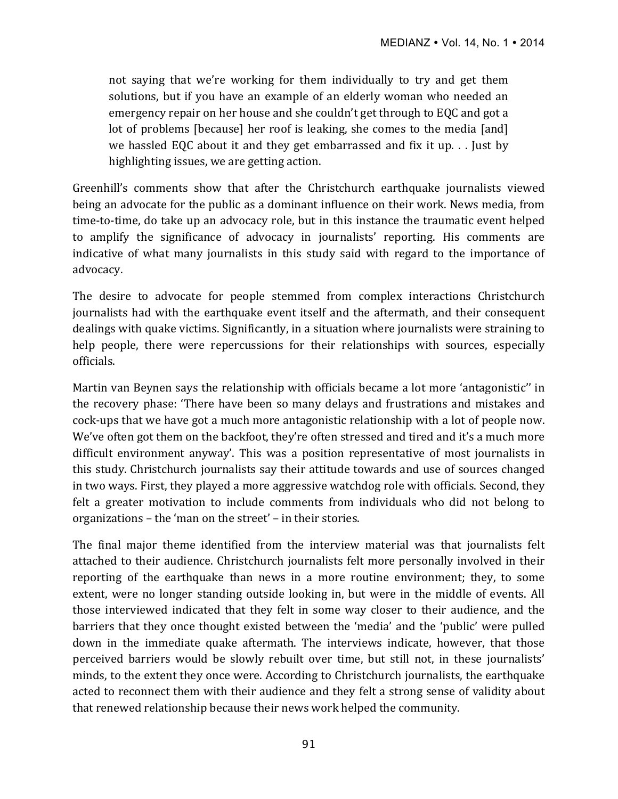not saying that we're working for them individually to try and get them solutions, but if you have an example of an elderly woman who needed an emergency repair on her house and she couldn't get through to EQC and got a lot of problems [because] her roof is leaking, she comes to the media [and] we hassled EQC about it and they get embarrassed and fix it up.  $\ldots$  Just by highlighting issues, we are getting action.

Greenhill's comments show that after the Christchurch earthquake journalists viewed being an advocate for the public as a dominant influence on their work. News media, from time-to-time, do take up an advocacy role, but in this instance the traumatic event helped to amplify the significance of advocacy in journalists' reporting. His comments are indicative of what many journalists in this study said with regard to the importance of advocacy.

The desire to advocate for people stemmed from complex interactions Christchurch journalists had with the earthquake event itself and the aftermath, and their consequent dealings with quake victims. Significantly, in a situation where journalists were straining to help people, there were repercussions for their relationships with sources, especially officials. 

Martin van Beynen says the relationship with officials became a lot more 'antagonistic'' in the recovery phase: 'There have been so many delays and frustrations and mistakes and cock-ups that we have got a much more antagonistic relationship with a lot of people now. We've often got them on the backfoot, they're often stressed and tired and it's a much more difficult environment anyway'. This was a position representative of most journalists in this study. Christchurch journalists say their attitude towards and use of sources changed in two ways. First, they played a more aggressive watchdog role with officials. Second, they felt a greater motivation to include comments from individuals who did not belong to organizations – the 'man on the street' – in their stories.

The final major theme identified from the interview material was that journalists felt attached to their audience. Christchurch journalists felt more personally involved in their reporting of the earthquake than news in a more routine environment; they, to some extent, were no longer standing outside looking in, but were in the middle of events. All those interviewed indicated that they felt in some way closer to their audience, and the barriers that they once thought existed between the 'media' and the 'public' were pulled down in the immediate quake aftermath. The interviews indicate, however, that those perceived barriers would be slowly rebuilt over time, but still not, in these journalists' minds, to the extent they once were. According to Christchurch journalists, the earthquake acted to reconnect them with their audience and they felt a strong sense of validity about that renewed relationship because their news work helped the community.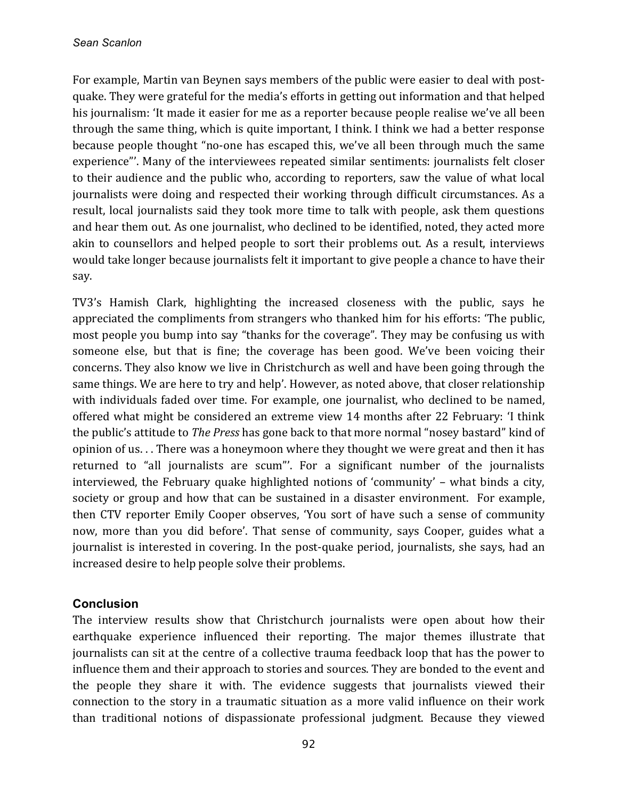For example, Martin van Beynen says members of the public were easier to deal with postquake. They were grateful for the media's efforts in getting out information and that helped his journalism: 'It made it easier for me as a reporter because people realise we've all been through the same thing, which is quite important, I think. I think we had a better response because people thought "no-one has escaped this, we've all been through much the same experience"'. Many of the interviewees repeated similar sentiments: journalists felt closer to their audience and the public who, according to reporters, saw the value of what local journalists were doing and respected their working through difficult circumstances. As a result, local journalists said they took more time to talk with people, ask them questions and hear them out. As one journalist, who declined to be identified, noted, they acted more akin to counsellors and helped people to sort their problems out. As a result, interviews would take longer because journalists felt it important to give people a chance to have their say. 

TV3's Hamish Clark, highlighting the increased closeness with the public, says he appreciated the compliments from strangers who thanked him for his efforts: 'The public, most people you bump into say "thanks for the coverage". They may be confusing us with someone else, but that is fine; the coverage has been good. We've been voicing their concerns. They also know we live in Christchurch as well and have been going through the same things. We are here to try and help'. However, as noted above, that closer relationship with individuals faded over time. For example, one journalist, who declined to be named, offered what might be considered an extreme view 14 months after 22 February: 'I think the public's attitude to *The Press* has gone back to that more normal "nosey bastard" kind of opinion of us... There was a honeymoon where they thought we were great and then it has returned to "all journalists are scum"'. For a significant number of the journalists interviewed, the February quake highlighted notions of 'community' – what binds a city, society or group and how that can be sustained in a disaster environment. For example, then CTV reporter Emily Cooper observes, 'You sort of have such a sense of community now, more than you did before'. That sense of community, says Cooper, guides what a journalist is interested in covering. In the post-quake period, journalists, she says, had an increased desire to help people solve their problems.

### **Conclusion**

The interview results show that Christchurch journalists were open about how their earthquake experience influenced their reporting. The major themes illustrate that journalists can sit at the centre of a collective trauma feedback loop that has the power to influence them and their approach to stories and sources. They are bonded to the event and the people they share it with. The evidence suggests that journalists viewed their connection to the story in a traumatic situation as a more valid influence on their work than traditional notions of dispassionate professional judgment. Because they viewed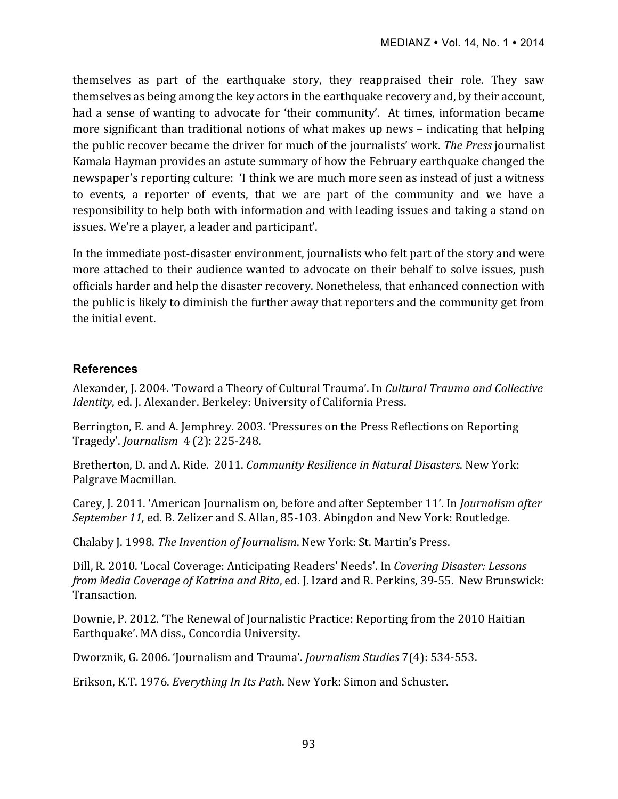themselves as part of the earthquake story, they reappraised their role. They saw themselves as being among the key actors in the earthquake recovery and, by their account, had a sense of wanting to advocate for 'their community'. At times, information became more significant than traditional notions of what makes up news – indicating that helping the public recover became the driver for much of the journalists' work. *The Press* journalist Kamala Hayman provides an astute summary of how the February earthquake changed the newspaper's reporting culture: 'I think we are much more seen as instead of just a witness to events, a reporter of events, that we are part of the community and we have a responsibility to help both with information and with leading issues and taking a stand on issues. We're a player, a leader and participant'.

In the immediate post-disaster environment, journalists who felt part of the story and were more attached to their audience wanted to advocate on their behalf to solve issues, push officials harder and help the disaster recovery. Nonetheless, that enhanced connection with the public is likely to diminish the further away that reporters and the community get from the initial event.

## **References**

Alexander, J. 2004. 'Toward a Theory of Cultural Trauma'. In *Cultural Trauma and Collective Identity*, ed. J. Alexander. Berkeley: University of California Press.

Berrington, E. and A. Jemphrey. 2003. 'Pressures on the Press Reflections on Reporting Tragedy'. *Journalism* 4 (2): 225-248.

Bretherton, D. and A. Ride. 2011. *Community Resilience in Natural Disasters*. New York: Palgrave Macmillan.

Carey, J. 2011. 'American Journalism on, before and after September 11'. In *Journalism after September 11, ed. B. Zelizer and S. Allan, 85-103. Abingdon and New York: Routledge.* 

Chalaby J. 1998. *The Invention of Journalism*. New York: St. Martin's Press.

Dill, R. 2010. 'Local Coverage: Anticipating Readers' Needs'. In *Covering Disaster: Lessons from Media Coverage of Katrina and Rita*, ed. J. Izard and R. Perkins, 39-55. New Brunswick: Transaction.

Downie, P. 2012. 'The Renewal of Journalistic Practice: Reporting from the 2010 Haitian Earthquake'. MA diss., Concordia University.

Dworznik, G. 2006. 'Journalism and Trauma'. *Journalism Studies* 7(4): 534-553.

Erikson, K.T. 1976. *Everything In Its Path*. New York: Simon and Schuster.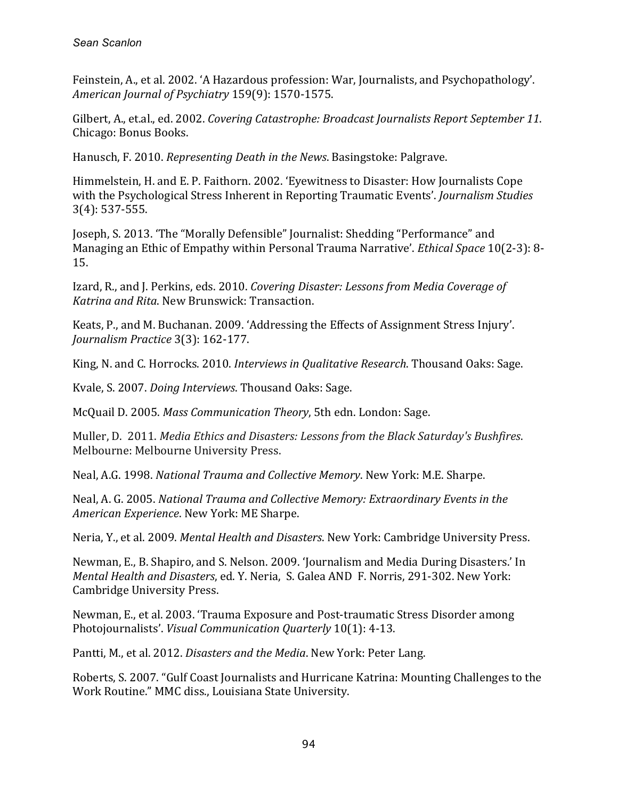Feinstein, A., et al. 2002. 'A Hazardous profession: War, Journalists, and Psychopathology'. *American Journal of Psychiatry* 159(9): 1570-1575.

Gilbert, A., et.al., ed. 2002. *Covering Catastrophe: Broadcast Journalists Report September 11.* Chicago: Bonus Books.

Hanusch, F. 2010. *Representing Death in the News*. Basingstoke: Palgrave.

Himmelstein, H. and E. P. Faithorn. 2002. 'Eyewitness to Disaster: How Journalists Cope with the Psychological Stress Inherent in Reporting Traumatic Events'. *Journalism Studies* 3(4): 537-555.

Joseph, S. 2013. 'The "Morally Defensible" Journalist: Shedding "Performance" and Managing an Ethic of Empathy within Personal Trauma Narrative'. *Ethical Space* 10(2-3): 8-15.

Izard, R., and J. Perkins, eds. 2010. *Covering Disaster: Lessons from Media Coverage of Katrina and Rita*. New Brunswick: Transaction.

Keats, P., and M. Buchanan. 2009. 'Addressing the Effects of Assignment Stress Injury'. *Journalism Practice* 3(3): 162-177.

King, N. and C. Horrocks. 2010. *Interviews in Qualitative Research*. Thousand Oaks: Sage.

Kvale, S. 2007. *Doing Interviews*. Thousand Oaks: Sage.

McQuail D. 2005. *Mass Communication Theory*, 5th edn. London: Sage.

Muller, D. 2011. *Media Ethics and Disasters: Lessons from the Black Saturday's Bushfires.* Melbourne: Melbourne University Press.

Neal, A.G. 1998. *National Trauma and Collective Memory*. New York: M.E. Sharpe.

Neal, A. G. 2005. National Trauma and Collective Memory: Extraordinary Events in the *American Experience*. New York: ME Sharpe.

Neria, Y., et al. 2009. Mental Health and Disasters. New York: Cambridge University Press.

Newman, E., B. Shapiro, and S. Nelson. 2009. 'Journalism and Media During Disasters.' In *Mental Health and Disasters, ed. Y. Neria, S. Galea AND F. Norris, 291-302. New York:* Cambridge University Press.

Newman, E., et al. 2003. 'Trauma Exposure and Post-traumatic Stress Disorder among Photojournalists'. *Visual Communication Quarterly* 10(1): 4-13.

Pantti, M., et al. 2012. *Disasters and the Media*. New York: Peter Lang.

Roberts, S. 2007. "Gulf Coast Journalists and Hurricane Katrina: Mounting Challenges to the Work Routine." MMC diss., Louisiana State University.